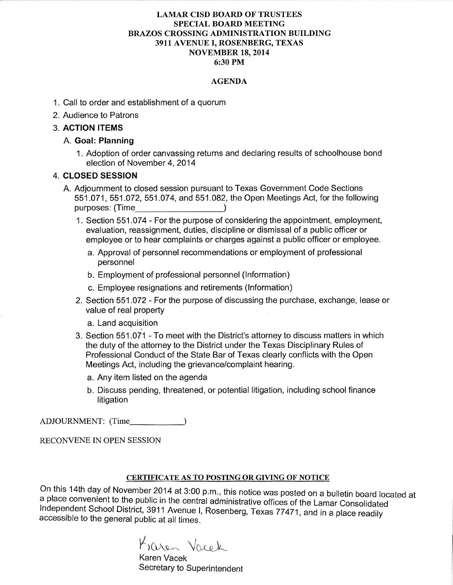### **LAMAR CISD BOARD OF TRUSTEES SPECIAL BOARD MEETING BRAZOS CROSSING ADMINISTRATION BUILDING** 3911 AVENUE I, ROSENBERG, TEXAS **NOVEMBER 18, 2014** 6:30 PM

### **AGENDA**

- 1. Call to order and establishment of a quorum
- 2. Audience to Patrons

### **3. ACTION ITEMS**

#### A. Goal: Planning

1. Adoption of order canvassing returns and declaring results of schoolhouse bond election of November 4, 2014

## 4. CLOSED SESSION

- A. Adjournment to closed session pursuant to Texas Government Code Sections 551.071, 551.072, 551.074, and 551.082, the Open Meetings Act, for the following purposes: (Time the control of the control of the control of the control of the control of the control of the control of the control of the control of the control of the control of the control of the control of the control
	- 1. Section 551.074 For the purpose of considering the appointment, employment, evaluation, reassignment, duties, discipline or dismissal of a public officer or employee or to hear complaints or charges against a public officer or employee.
		- a. Approval of personnel recommendations or employment of professional personnel
		- b. Employment of professional personnel (Information)
		- c. Employee resignations and retirements (Information)
	- 2. Section 551.072 For the purpose of discussing the purchase, exchange, lease or value of real property
		- a. Land acquisition
	- 3. Section 551.071 To meet with the District's attorney to discuss matters in which the duty of the attorney to the District under the Texas Disciplinary Rules of Professional Conduct of the State Bar of Texas clearly conflicts with the Open Meetings Act, including the grievance/complaint hearing.
		- a. Any item listed on the agenda
		- b. Discuss pending, threatened, or potential litigation, including school finance litigation

ADJOURNMENT: (Time

RECONVENE IN OPEN SESSION

### CERTIFICATE AS TO POSTING OR GIVING OF NOTICE

On this 14th day of November 2014 at 3:00 p.m., this notice was posted on a bulletin board located at a place convenient to the public in the central administrative offices of the Lamar Consolidated Independent School District, 3911 Avenue I, Rosenberg, Texas 77471, and in a place readily accessible to the general public at all times.

Karen Vacet

Karen Vacek Secretary to Superintendent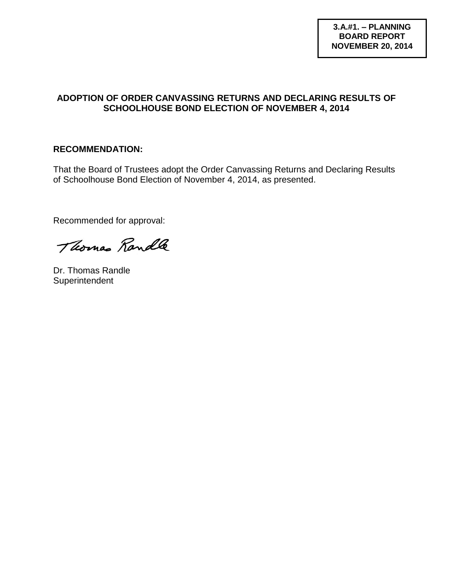## **ADOPTION OF ORDER CANVASSING RETURNS AND DECLARING RESULTS OF SCHOOLHOUSE BOND ELECTION OF NOVEMBER 4, 2014**

# **RECOMMENDATION:**

That the Board of Trustees adopt the Order Canvassing Returns and Declaring Results of Schoolhouse Bond Election of November 4, 2014, as presented.

Recommended for approval:

Thomas Randle

Dr. Thomas Randle **Superintendent**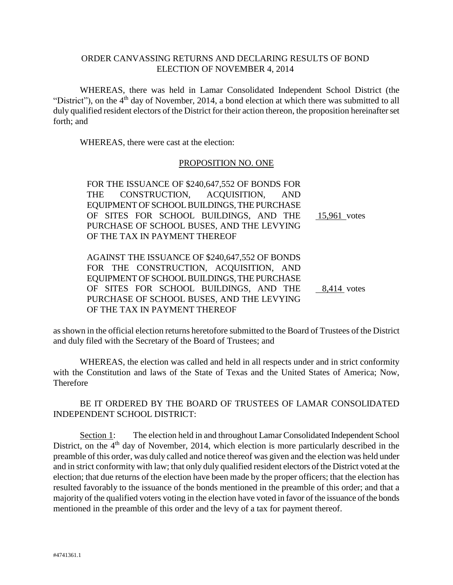## ORDER CANVASSING RETURNS AND DECLARING RESULTS OF BOND ELECTION OF NOVEMBER 4, 2014

WHEREAS, there was held in Lamar Consolidated Independent School District (the "District"), on the  $4<sup>th</sup>$  day of November, 2014, a bond election at which there was submitted to all duly qualified resident electors of the District for their action thereon, the proposition hereinafter set forth; and

WHEREAS, there were cast at the election:

### PROPOSITION NO. ONE

FOR THE ISSUANCE OF \$240,647,552 OF BONDS FOR THE CONSTRUCTION, ACQUISITION, AND EQUIPMENT OF SCHOOL BUILDINGS, THE PURCHASE OF SITES FOR SCHOOL BUILDINGS, AND THE PURCHASE OF SCHOOL BUSES, AND THE LEVYING OF THE TAX IN PAYMENT THEREOF 15,961 votes

AGAINST THE ISSUANCE OF \$240,647,552 OF BONDS FOR THE CONSTRUCTION, ACQUISITION, AND EQUIPMENT OF SCHOOL BUILDINGS, THE PURCHASE OF SITES FOR SCHOOL BUILDINGS, AND THE PURCHASE OF SCHOOL BUSES, AND THE LEVYING OF THE TAX IN PAYMENT THEREOF 8,414 votes

as shown in the official election returns heretofore submitted to the Board of Trustees of the District and duly filed with the Secretary of the Board of Trustees; and

WHEREAS, the election was called and held in all respects under and in strict conformity with the Constitution and laws of the State of Texas and the United States of America; Now, **Therefore** 

BE IT ORDERED BY THE BOARD OF TRUSTEES OF LAMAR CONSOLIDATED INDEPENDENT SCHOOL DISTRICT:

Section 1: The election held in and throughout Lamar Consolidated Independent School District, on the 4<sup>th</sup> day of November, 2014, which election is more particularly described in the preamble of this order, was duly called and notice thereof was given and the election was held under and in strict conformity with law; that only duly qualified resident electors of the District voted at the election; that due returns of the election have been made by the proper officers; that the election has resulted favorably to the issuance of the bonds mentioned in the preamble of this order; and that a majority of the qualified voters voting in the election have voted in favor of the issuance of the bonds mentioned in the preamble of this order and the levy of a tax for payment thereof.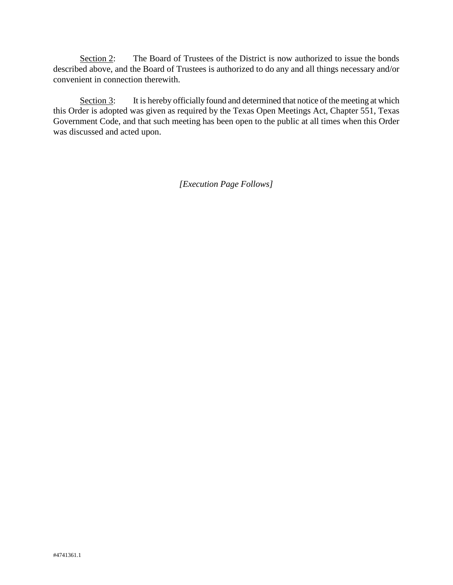Section 2: The Board of Trustees of the District is now authorized to issue the bonds described above, and the Board of Trustees is authorized to do any and all things necessary and/or convenient in connection therewith.

Section 3: It is hereby officially found and determined that notice of the meeting at which this Order is adopted was given as required by the Texas Open Meetings Act, Chapter 551, Texas Government Code, and that such meeting has been open to the public at all times when this Order was discussed and acted upon.

*[Execution Page Follows]*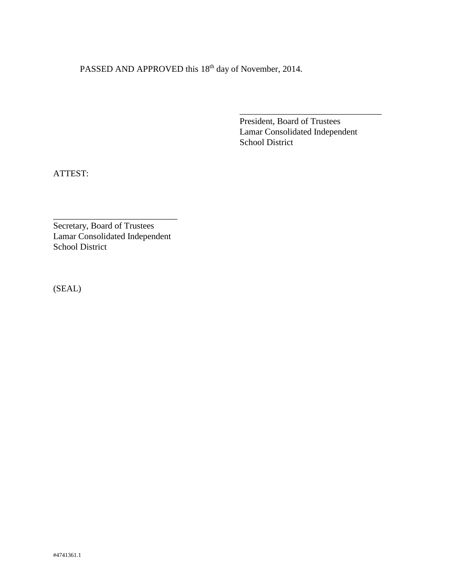PASSED AND APPROVED this 18<sup>th</sup> day of November, 2014.

President, Board of Trustees Lamar Consolidated Independent School District

\_\_\_\_\_\_\_\_\_\_\_\_\_\_\_\_\_\_\_\_\_\_\_\_\_\_\_\_\_\_\_\_

ATTEST:

Secretary, Board of Trustees Lamar Consolidated Independent School District

\_\_\_\_\_\_\_\_\_\_\_\_\_\_\_\_\_\_\_\_\_\_\_\_\_\_\_\_

(SEAL)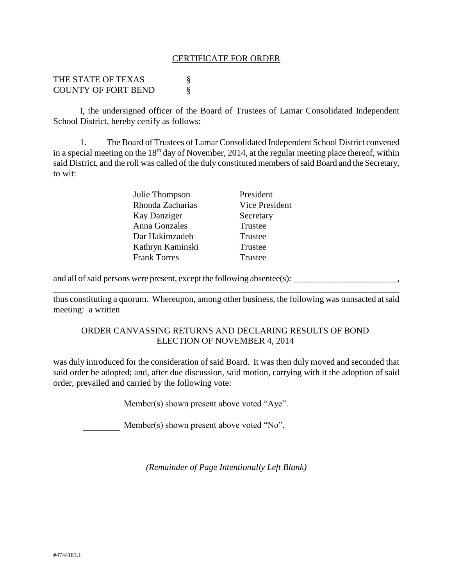## CERTIFICATE FOR ORDER

THE STATE OF TEXAS  $\S$ COUNTY OF FORT BEND §

I, the undersigned officer of the Board of Trustees of Lamar Consolidated Independent School District, hereby certify as follows:

1. The Board of Trustees of Lamar Consolidated Independent School District convened in a special meeting on the 18<sup>th</sup> day of November, 2014, at the regular meeting place thereof, within said District, and the roll was called of the duly constituted members of said Board and the Secretary, to wit:

| Julie Thompson      | President             |
|---------------------|-----------------------|
| Rhonda Zacharias    | <b>Vice President</b> |
| Kay Danziger        | Secretary             |
| Anna Gonzales       | Trustee               |
| Dar Hakimzadeh      | Trustee               |
| Kathryn Kaminski    | Trustee               |
| <b>Frank Torres</b> | Trustee               |
|                     |                       |

and all of said persons were present, except the following absentee(s): \_\_\_\_\_\_\_\_\_\_\_\_\_\_\_\_\_\_\_\_\_\_\_,

thus constituting a quorum. Whereupon, among other business, the following was transacted at said meeting: a written

\_\_\_\_\_\_\_\_\_\_\_\_\_\_\_\_\_\_\_\_\_\_\_\_\_\_\_\_\_\_\_\_\_\_\_\_\_\_\_\_\_\_\_\_\_\_\_\_\_\_\_\_\_\_\_\_\_\_\_\_\_\_\_\_\_\_\_\_\_\_\_\_\_\_\_\_\_\_

## ORDER CANVASSING RETURNS AND DECLARING RESULTS OF BOND ELECTION OF NOVEMBER 4, 2014

was duly introduced for the consideration of said Board. It was then duly moved and seconded that said order be adopted; and, after due discussion, said motion, carrying with it the adoption of said order, prevailed and carried by the following vote:

Member(s) shown present above voted "Aye".

Member(s) shown present above voted "No".

*(Remainder of Page Intentionally Left Blank)*